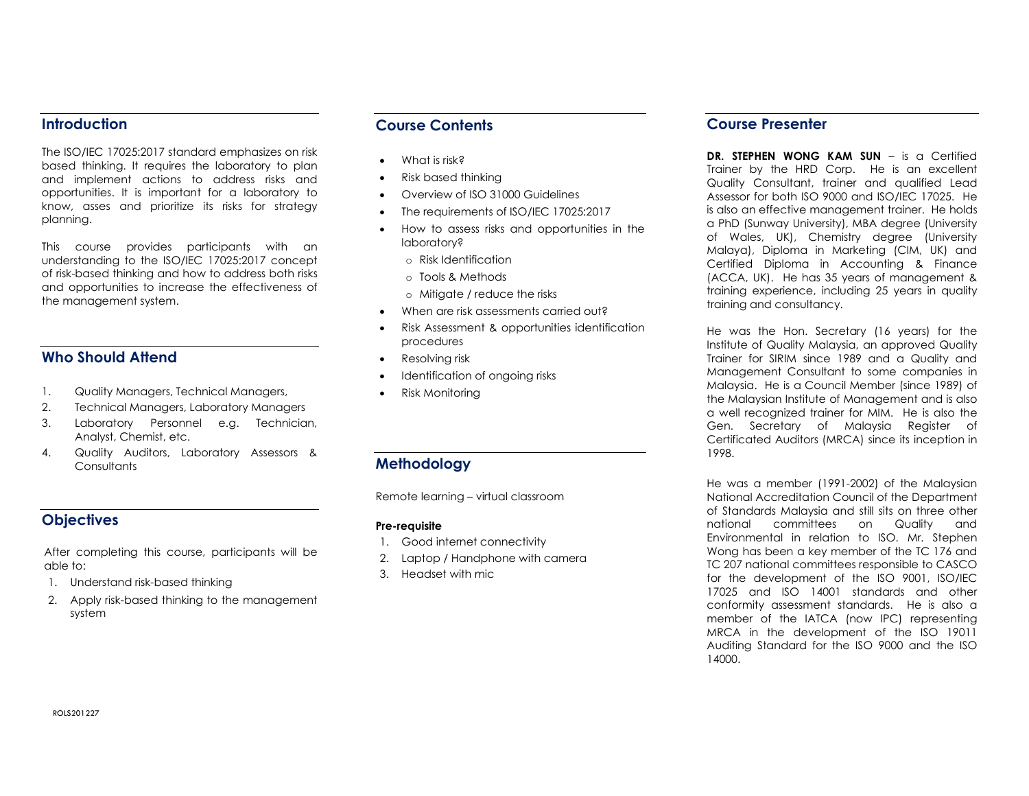## **Introduction**

The ISO/IEC 17025:2017 standard emphasizes on risk based thinking. It requires the laboratory to plan and implement actions to address risks and opportunities. It is important for a laboratory to know, asses and prioritize its risks for strategy planning.

This course provides participants with an understanding to the ISO/IEC 17025:2017 concept of risk-based thinking and how to address both risks and opportunities to increase the effectiveness of the management system.

# Who Should Attend

- 1. Quality Managers, Technical Managers,
- 2. Technical Managers, Laboratory Managers
- 3. Laboratory Personnel e.g. Technician, Analyst, Chemist, etc.
- 4. Quality Auditors, Laboratory Assessors & **Consultants**

# **Objectives**

After completing this course, participants will be able to:

- 1. Understand risk-based thinking
- 2. Apply risk-based thinking to the management system

## Course Contents

- What is risk?
- Risk based thinking
- Overview of ISO 31000 Guidelines
- The requirements of ISO/IEC 17025:2017
- How to assess risks and opportunities in the laboratory?
	- o Risk Identification
	- o Tools & Methods
	- o Mitigate / reduce the risks
- When are risk assessments carried out?
- Risk Assessment & opportunities identification procedures
- Resolving risk
- Identification of ongoing risks
- Risk Monitoring

# Methodology

Remote learning – virtual classroom

#### Pre-requisite

- 1. Good internet connectivity
- 2. Laptop / Handphone with camera
- 3. Headset with mic

### Course Presenter

DR. STEPHEN WONG KAM SUN – is a Certified Trainer by the HRD Corp. He is an excellent Quality Consultant, trainer and qualified Lead Assessor for both ISO 9000 and ISO/IEC 17025. He is also an effective management trainer. He holds a PhD (Sunway University), MBA degree (University of Wales, UK), Chemistry degree (University Malaya), Diploma in Marketing (CIM, UK) and Certified Diploma in Accounting & Finance (ACCA, UK). He has 35 years of management & training experience, including 25 years in quality training and consultancy.

He was the Hon. Secretary (16 years) for the Institute of Quality Malaysia, an approved Quality Trainer for SIRIM since 1989 and a Quality and Management Consultant to some companies in Malaysia. He is a Council Member (since 1989) of the Malaysian Institute of Management and is also a well recognized trainer for MIM. He is also the Gen. Secretary of Malaysia Register of Certificated Auditors (MRCA) since its inception in 1998.

He was a member (1991-2002) of the Malaysian National Accreditation Council of the Department of Standards Malaysia and still sits on three other national committees on Quality and Environmental in relation to ISO. Mr. Stephen Wong has been a key member of the TC 176 and TC 207 national committees responsible to CASCO for the development of the ISO 9001, ISO/IEC 17025 and ISO 14001 standards and other conformity assessment standards. He is also a member of the IATCA (now IPC) representing MRCA in the development of the ISO 19011 Auditing Standard for the ISO 9000 and the ISO 14000.